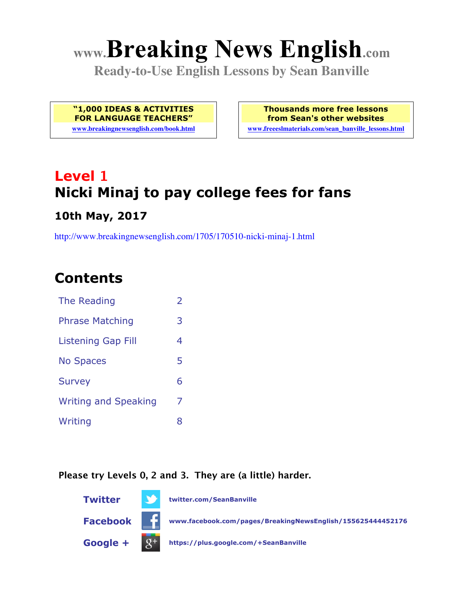# **www.Breaking News English.com**

**Ready-to-Use English Lessons by Sean Banville**

**"1,000 IDEAS & ACTIVITIES FOR LANGUAGE TEACHERS"**

**www.breakingnewsenglish.com/book.html**

**Thousands more free lessons from Sean's other websites www.freeeslmaterials.com/sean\_banville\_lessons.html**

## **Level 1 Nicki Minaj to pay college fees for fans**

#### **10th May, 2017**

http://www.breakingnewsenglish.com/1705/170510-nicki-minaj-1.html

### **Contents**

| The Reading                 | $\overline{2}$ |
|-----------------------------|----------------|
| <b>Phrase Matching</b>      | 3              |
| <b>Listening Gap Fill</b>   | 4              |
| <b>No Spaces</b>            | 5              |
| <b>Survey</b>               | 6              |
| <b>Writing and Speaking</b> | 7              |
| Writing                     | 8              |

#### **Please try Levels 0, 2 and 3. They are (a little) harder.**

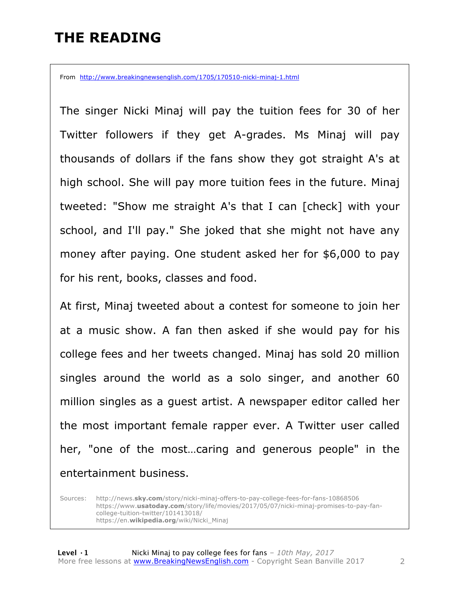### **THE READING**

From http://www.breakingnewsenglish.com/1705/170510-nicki-minaj-1.html

The singer Nicki Minaj will pay the tuition fees for 30 of her Twitter followers if they get A-grades. Ms Minaj will pay thousands of dollars if the fans show they got straight A's at high school. She will pay more tuition fees in the future. Minaj tweeted: "Show me straight A's that I can [check] with your school, and I'll pay." She joked that she might not have any money after paying. One student asked her for \$6,000 to pay for his rent, books, classes and food.

At first, Minaj tweeted about a contest for someone to join her at a music show. A fan then asked if she would pay for his college fees and her tweets changed. Minaj has sold 20 million singles around the world as a solo singer, and another 60 million singles as a guest artist. A newspaper editor called her the most important female rapper ever. A Twitter user called her, "one of the most…caring and generous people" in the entertainment business.

Sources: http://news.**sky.com**/story/nicki-minaj-offers-to-pay-college-fees-for-fans-10868506 https://www.**usatoday.com**/story/life/movies/2017/05/07/nicki-minaj-promises-to-pay-fancollege-tuition-twitter/101413018/ https://en.**wikipedia.org**/wiki/Nicki\_Minaj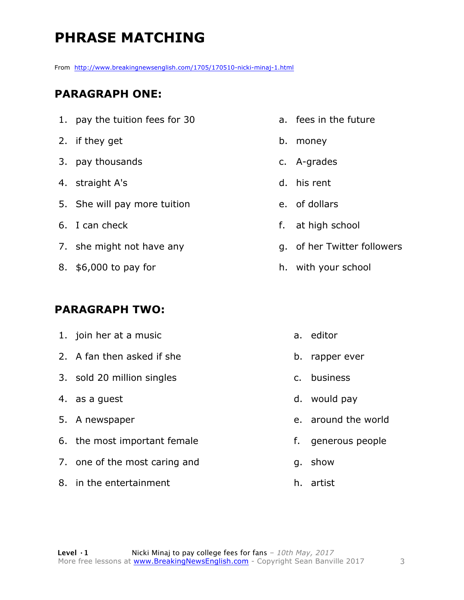### **PHRASE MATCHING**

From http://www.breakingnewsenglish.com/1705/170510-nicki-minaj-1.html

#### **PARAGRAPH ONE:**

- 1. pay the tuition fees for 30
- 2. if they get
- 3. pay thousands
- 4. straight A's
- 5. She will pay more tuition
- 6. I can check
- 7. she might not have any
- 8. \$6,000 to pay for

#### **PARAGRAPH TWO:**

1. join her at a music 2. A fan then asked if she 3. sold 20 million singles 4. as a guest 5. A newspaper 6. the most important female 7. one of the most caring and 8. in the entertainment a. editor b. rapper ever c. business d. would pay g. show

- a. fees in the future
- b. money
- c. A-grades
- d. his rent
- e. of dollars
- f. at high school
- g. of her Twitter followers
- h. with your school

- e. around the world
- f. generous people
- h. artist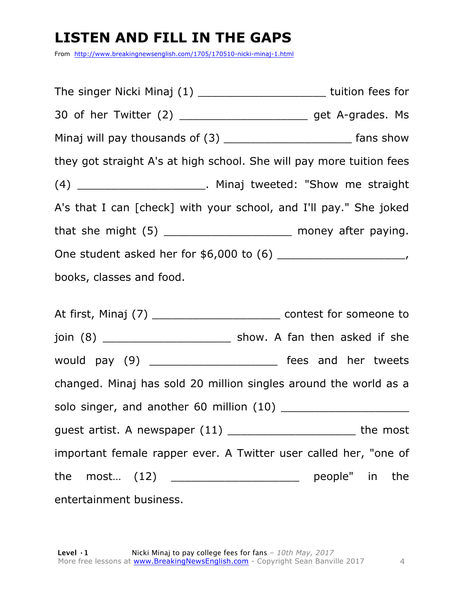### **LISTEN AND FILL IN THE GAPS**

From http://www.breakingnewsenglish.com/1705/170510-nicki-minaj-1.html

The singer Nicki Minaj (1) \_\_\_\_\_\_\_\_\_\_\_\_\_\_\_\_\_\_\_\_\_\_\_\_\_\_tuition fees for 30 of her Twitter (2) \_\_\_\_\_\_\_\_\_\_\_\_\_\_\_\_\_\_\_ get A-grades. Ms Minaj will pay thousands of (3) \_\_\_\_\_\_\_\_\_\_\_\_\_\_\_\_\_\_\_\_\_\_\_\_\_\_\_\_\_ fans show they got straight A's at high school. She will pay more tuition fees (4) \_\_\_\_\_\_\_\_\_\_\_\_\_\_\_\_\_\_\_. Minaj tweeted: "Show me straight A's that I can [check] with your school, and I'll pay." She joked that she might  $(5)$  \_\_\_\_\_\_\_\_\_\_\_\_\_\_\_\_\_\_\_\_\_\_\_\_\_\_ money after paying. One student asked her for \$6,000 to (6) \_\_\_\_\_\_\_\_\_\_\_\_\_\_\_\_\_\_\_, books, classes and food.

At first, Minaj (7) \_\_\_\_\_\_\_\_\_\_\_\_\_\_\_\_\_\_\_\_\_\_\_\_\_\_\_\_\_\_\_ contest for someone to join (8) \_\_\_\_\_\_\_\_\_\_\_\_\_\_\_\_\_\_\_\_\_\_\_\_\_\_ show. A fan then asked if she would pay (9) \_\_\_\_\_\_\_\_\_\_\_\_\_\_\_\_\_\_\_\_\_\_\_\_ fees and her tweets changed. Minaj has sold 20 million singles around the world as a solo singer, and another 60 million (10) \_\_\_\_\_\_\_\_\_\_\_\_\_\_\_\_\_\_\_ guest artist. A newspaper (11) \_\_\_\_\_\_\_\_\_\_\_\_\_\_\_\_\_\_\_ the most important female rapper ever. A Twitter user called her, "one of the most...  $(12)$  \_\_\_\_\_\_\_\_\_\_\_\_\_\_\_\_\_\_\_\_\_ people" in the entertainment business.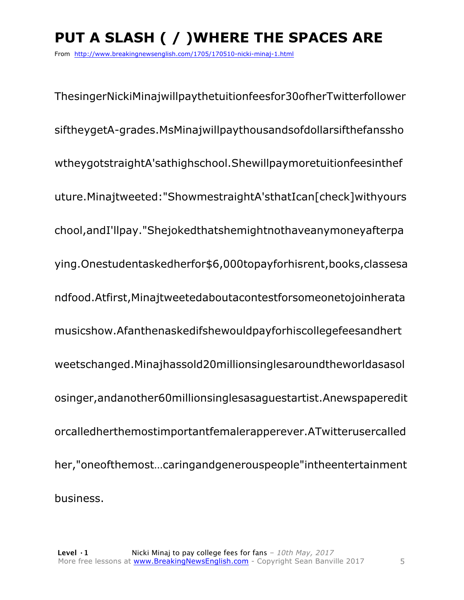### **PUT A SLASH ( / )WHERE THE SPACES ARE**

From http://www.breakingnewsenglish.com/1705/170510-nicki-minaj-1.html

ThesingerNickiMinajwillpaythetuitionfeesfor30ofherTwitterfollower siftheygetA-grades.MsMinajwillpaythousandsofdollarsifthefanssho wtheygotstraightA'sathighschool.Shewillpaymoretuitionfeesinthef uture.Minajtweeted:"ShowmestraightA'sthatIcan[check]withyours chool,andI'llpay."Shejokedthatshemightnothaveanymoneyafterpa ying.Onestudentaskedherfor\$6,000topayforhisrent,books,classesa ndfood.Atfirst,Minajtweetedaboutacontestforsomeonetojoinherata musicshow.Afanthenaskedifshewouldpayforhiscollegefeesandhert weetschanged.Minajhassold20millionsinglesaroundtheworldasasol osinger,andanother60millionsinglesasaguestartist.Anewspaperedit orcalledherthemostimportantfemalerapperever.ATwitterusercalled her,"oneofthemost…caringandgenerouspeople"intheentertainment business.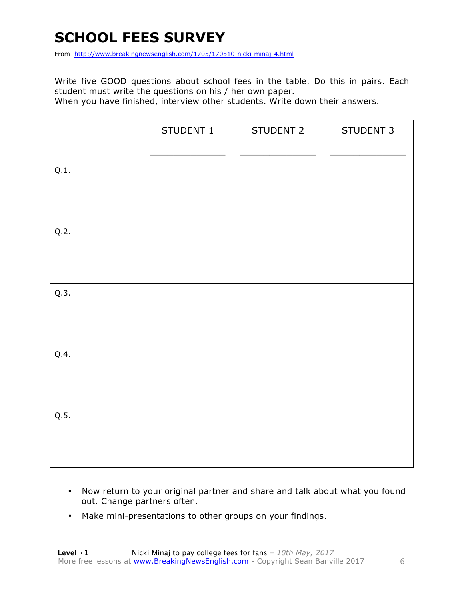### **SCHOOL FEES SURVEY**

From http://www.breakingnewsenglish.com/1705/170510-nicki-minaj-4.html

Write five GOOD questions about school fees in the table. Do this in pairs. Each student must write the questions on his / her own paper.

When you have finished, interview other students. Write down their answers.

|      | STUDENT 1 | STUDENT 2 | STUDENT 3 |
|------|-----------|-----------|-----------|
| Q.1. |           |           |           |
| Q.2. |           |           |           |
| Q.3. |           |           |           |
| Q.4. |           |           |           |
| Q.5. |           |           |           |

- Now return to your original partner and share and talk about what you found out. Change partners often.
- Make mini-presentations to other groups on your findings.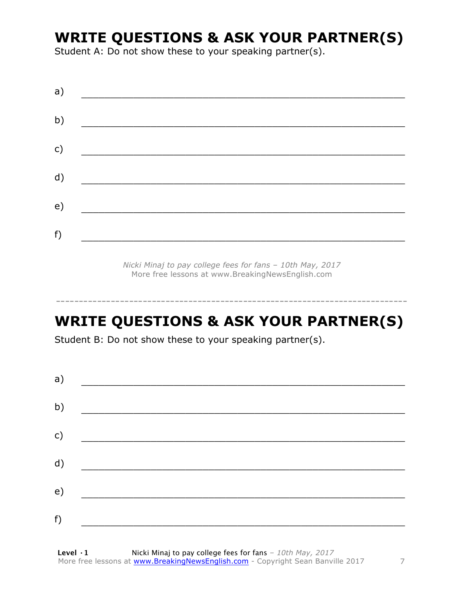### **WRITE QUESTIONS & ASK YOUR PARTNER(S)**

Student A: Do not show these to your speaking partner(s).

| a) |  |  |
|----|--|--|
| b) |  |  |
| c) |  |  |
| d) |  |  |
| e) |  |  |
| f) |  |  |
|    |  |  |

*Nicki Minaj to pay college fees for fans – 10th May, 2017* More free lessons at www.BreakingNewsEnglish.com

### **WRITE QUESTIONS & ASK YOUR PARTNER(S)**

-----------------------------------------------------------------------------

Student B: Do not show these to your speaking partner(s).

| a) |  |  |
|----|--|--|
| b) |  |  |
| c) |  |  |
| d) |  |  |
| e) |  |  |
| f) |  |  |
|    |  |  |